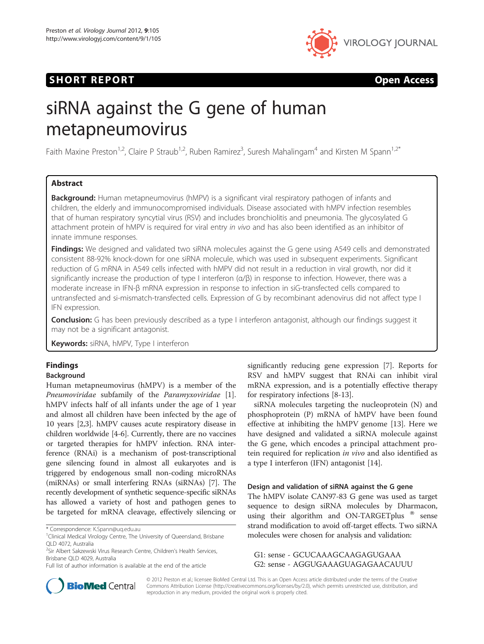## SHORT REPORT **SHORT CONSUMERS**



# siRNA against the G gene of human metapneumovirus

Faith Maxine Preston<sup>1,2</sup>, Claire P Straub<sup>1,2</sup>, Ruben Ramirez<sup>3</sup>, Suresh Mahalingam<sup>4</sup> and Kirsten M Spann<sup>1,2\*</sup>

## Abstract

Background: Human metapneumovirus (hMPV) is a significant viral respiratory pathogen of infants and children, the elderly and immunocompromised individuals. Disease associated with hMPV infection resembles that of human respiratory syncytial virus (RSV) and includes bronchiolitis and pneumonia. The glycosylated G attachment protein of hMPV is required for viral entry in vivo and has also been identified as an inhibitor of innate immune responses.

Findings: We designed and validated two siRNA molecules against the G gene using A549 cells and demonstrated consistent 88-92% knock-down for one siRNA molecule, which was used in subsequent experiments. Significant reduction of G mRNA in A549 cells infected with hMPV did not result in a reduction in viral growth, nor did it significantly increase the production of type I interferon (α/β) in response to infection. However, there was a moderate increase in IFN-β mRNA expression in response to infection in siG-transfected cells compared to untransfected and si-mismatch-transfected cells. Expression of G by recombinant adenovirus did not affect type I IFN expression.

Conclusion: G has been previously described as a type I interferon antagonist, although our findings suggest it may not be a significant antagonist.

Keywords: siRNA, hMPV, Type I interferon

## Findings

## Background

Human metapneumovirus (hMPV) is a member of the Pneumoviridae subfamily of the Paramyxoviridae [\[1](#page-3-0)]. hMPV infects half of all infants under the age of 1 year and almost all children have been infected by the age of 10 years [[2,3](#page-3-0)]. hMPV causes acute respiratory disease in children worldwide [\[4](#page-3-0)-[6](#page-3-0)]. Currently, there are no vaccines or targeted therapies for hMPV infection. RNA interference (RNAi) is a mechanism of post-transcriptional gene silencing found in almost all eukaryotes and is triggered by endogenous small non-coding microRNAs (miRNAs) or small interfering RNAs (siRNAs) [[7\]](#page-4-0). The recently development of synthetic sequence-specific siRNAs has allowed a variety of host and pathogen genes to be targeted for mRNA cleavage, effectively silencing or

<sup>2</sup>Sir Albert Sakzewski Virus Research Centre, Children's Health Services, Brisbane QLD 4029, Australia

significantly reducing gene expression [[7\]](#page-4-0). Reports for RSV and hMPV suggest that RNAi can inhibit viral mRNA expression, and is a potentially effective therapy for respiratory infections [\[8](#page-4-0)-[13\]](#page-4-0).

siRNA molecules targeting the nucleoprotein (N) and phosphoprotein (P) mRNA of hMPV have been found effective at inhibiting the hMPV genome [\[13\]](#page-4-0). Here we have designed and validated a siRNA molecule against the G gene, which encodes a principal attachment protein required for replication in vivo and also identified as a type I interferon (IFN) antagonist [[14](#page-4-0)].

## Design and validation of siRNA against the G gene

The hMPV isolate CAN97-83 G gene was used as target sequence to design siRNA molecules by Dharmacon, using their algorithm and ON-TARGETplus  $^{\circ}$  sense strand modification to avoid off-target effects. Two siRNA molecules were chosen for analysis and validation:

G1: sense - GCUCAAAGCAAGAGUGAAA G2: sense - AGGUGAAAGUAGAGAACAUUU



© 2012 Preston et al.; licensee BioMed Central Ltd. This is an Open Access article distributed under the terms of the Creative Commons Attribution License [\(http://creativecommons.org/licenses/by/2.0\)](http://creativecommons.org/licenses/by/2.0), which permits unrestricted use, distribution, and reproduction in any medium, provided the original work is properly cited.

<sup>\*</sup> Correspondence: [K.Spann@uq.edu.au](mailto:K.Spann@uq.edu.au)

<sup>&</sup>lt;sup>1</sup>Clinical Medical Virology Centre, The University of Queensland, Brisbane QLD 4072, Australia

Full list of author information is available at the end of the article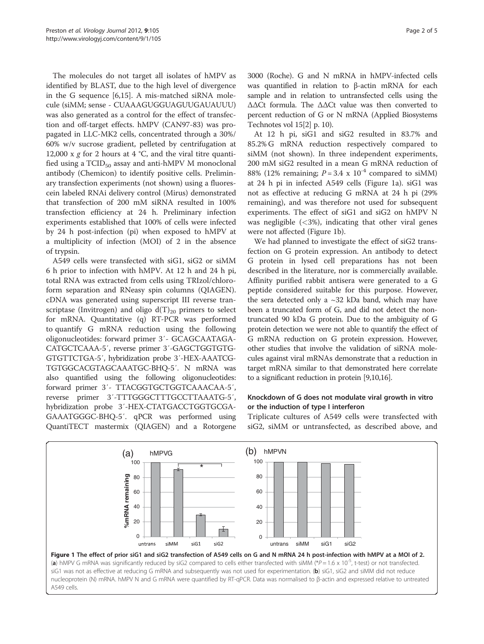The molecules do not target all isolates of hMPV as identified by BLAST, due to the high level of divergence in the G sequence [\[6](#page-3-0)[,15](#page-4-0)]. A mis-matched siRNA molecule (siMM; sense - CUAAAGUGGUAGUUGAUAUUU) was also generated as a control for the effect of transfection and off-target effects. hMPV (CAN97-83) was propagated in LLC-MK2 cells, concentrated through a 30%/ 60% w/v sucrose gradient, pelleted by centrifugation at 12,000 x  $g$  for 2 hours at 4 °C, and the viral titre quantified using a TCID<sub>50</sub> assay and anti-hMPV M monoclonal antibody (Chemicon) to identify positive cells. Preliminary transfection experiments (not shown) using a fluorescein labeled RNAi delivery control (Mirus) demonstrated that transfection of 200 mM siRNA resulted in 100% transfection efficiency at 24 h. Preliminary infection experiments established that 100% of cells were infected by 24 h post-infection (pi) when exposed to hMPV at a multiplicity of infection (MOI) of 2 in the absence of trypsin.

A549 cells were transfected with siG1, siG2 or siMM 6 h prior to infection with hMPV. At 12 h and 24 h pi, total RNA was extracted from cells using TRIzol/chloroform separation and RNeasy spin columns (QIAGEN). cDNA was generated using superscript III reverse transcriptase (Invitrogen) and oligo  $d(T)_{20}$  primers to select for mRNA. Quantitative (q) RT-PCR was performed to quantify G mRNA reduction using the following oligonucleotides: forward primer 3′- GCAGCAATAGA-CATGCTCAAA-5′, reverse primer 3′-GAGCTGGTGTG-GTGTTCTGA-5′, hybridization probe 3′-HEX-AAATCG-TGTGGCACGTAGCAAATGC-BHQ-5′. N mRNA was also quantified using the following oligonucleotides: forward primer 3′- TTACGGTGCTGGTCAAACAA-5′, reverse primer 3′-TTTGGGCTTTGCCTTAAATG-5′, hybridization probe 3′-HEX-CTATGACCTGGTGCGA-GAAATGGGC-BHQ-5′. qPCR was performed using QuantiTECT mastermix (QIAGEN) and a Rotorgene 3000 (Roche). G and N mRNA in hMPV-infected cells was quantified in relation to β-actin mRNA for each sample and in relation to untransfected cells using the ΔΔCt formula. The ΔΔCt value was then converted to percent reduction of G or N mRNA (Applied Biosystems Technotes vol 15[[2](#page-3-0)] p. 10).

At 12 h pi, siG1 and siG2 resulted in 83.7% and 85.2% G mRNA reduction respectively compared to siMM (not shown). In three independent experiments, 200 mM siG2 resulted in a mean G mRNA reduction of 88% (12% remaining;  $P = 3.4 \times 10^{-4}$  compared to siMM) at 24 h pi in infected A549 cells (Figure 1a). siG1 was not as effective at reducing G mRNA at 24 h pi (29% remaining), and was therefore not used for subsequent experiments. The effect of siG1 and siG2 on hMPV N was negligible  $( $3\%$ )$ , indicating that other viral genes were not affected (Figure 1b).

We had planned to investigate the effect of siG2 transfection on G protein expression. An antibody to detect G protein in lysed cell preparations has not been described in the literature, nor is commercially available. Affinity purified rabbit antisera were generated to a G peptide considered suitable for this purpose. However, the sera detected only a  $\sim$ 32 kDa band, which may have been a truncated form of G, and did not detect the nontruncated 90 kDa G protein. Due to the ambiguity of G protein detection we were not able to quantify the effect of G mRNA reduction on G protein expression. However, other studies that involve the validation of siRNA molecules against viral mRNAs demonstrate that a reduction in target mRNA similar to that demonstrated here correlate to a significant reduction in protein [\[9,10,16\]](#page-4-0).

## Knockdown of G does not modulate viral growth in vitro or the induction of type I interferon

Triplicate cultures of A549 cells were transfected with siG2, siMM or untransfected, as described above, and

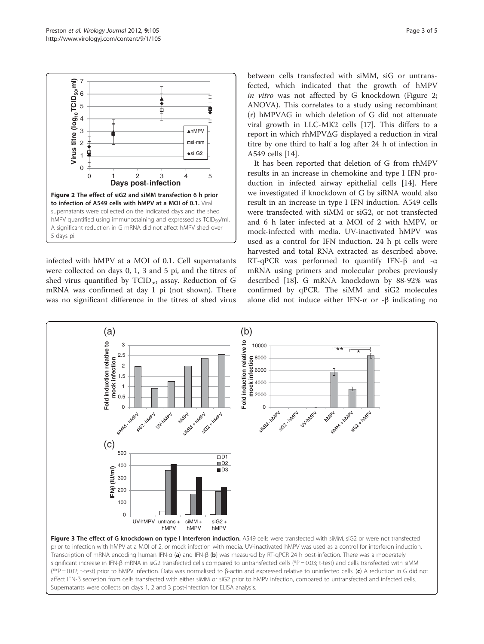<span id="page-2-0"></span>

infected with hMPV at a MOI of 0.1. Cell supernatants were collected on days 0, 1, 3 and 5 pi, and the titres of shed virus quantified by  $TCID_{50}$  assay. Reduction of G mRNA was confirmed at day 1 pi (not shown). There was no significant difference in the titres of shed virus between cells transfected with siMM, siG or untransfected, which indicated that the growth of hMPV in vitro was not affected by G knockdown (Figure 2; ANOVA). This correlates to a study using recombinant (r) hMPVΔG in which deletion of G did not attenuate viral growth in LLC-MK2 cells [\[17\]](#page-4-0). This differs to a report in which rhMPVΔG displayed a reduction in viral titre by one third to half a log after 24 h of infection in A549 cells [\[14\]](#page-4-0).

It has been reported that deletion of G from rhMPV results in an increase in chemokine and type I IFN production in infected airway epithelial cells [\[14](#page-4-0)]. Here we investigated if knockdown of G by siRNA would also result in an increase in type I IFN induction. A549 cells were transfected with siMM or siG2, or not transfected and 6 h later infected at a MOI of 2 with hMPV, or mock-infected with media. UV-inactivated hMPV was used as a control for IFN induction. 24 h pi cells were harvested and total RNA extracted as described above. RT-qPCR was performed to quantify IFN-β and -α mRNA using primers and molecular probes previously described [\[18](#page-4-0)]. G mRNA knockdown by 88-92% was confirmed by qPCR. The siMM and siG2 molecules alone did not induce either IFN- $\alpha$  or -β indicating no

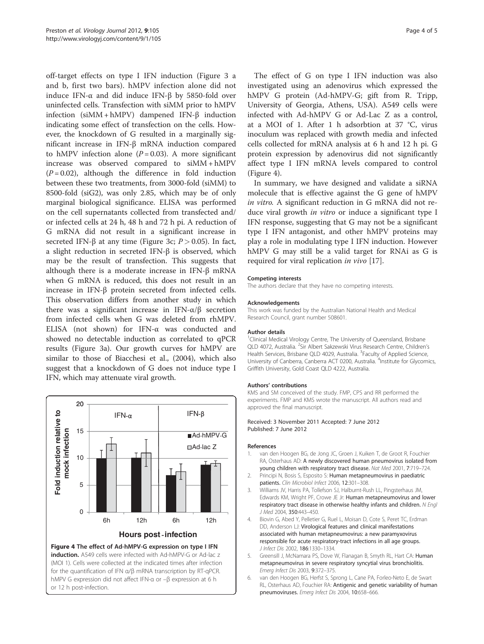<span id="page-3-0"></span>off-target effects on type I IFN induction (Figure [3](#page-2-0) a and b, first two bars). hMPV infection alone did not induce IFN-α and did induce IFN-β by 5850-fold over uninfected cells. Transfection with siMM prior to hMPV infection (siMM + hMPV) dampened IFN-β induction indicating some effect of transfection on the cells. However, the knockdown of G resulted in a marginally significant increase in IFN-β mRNA induction compared to hMPV infection alone  $(P = 0.03)$ . A more significant increase was observed compared to siMM + hMPV  $(P = 0.02)$ , although the difference in fold induction between these two treatments, from 3000-fold (siMM) to 8500-fold (siG2), was only 2.85, which may be of only marginal biological significance. ELISA was performed on the cell supernatants collected from transfected and/ or infected cells at 24 h, 48 h and 72 h pi. A reduction of G mRNA did not result in a significant increase in secreted IFN- $\beta$  at any time (Figure [3c;](#page-2-0)  $P > 0.05$ ). In fact, a slight reduction in secreted IFN-β is observed, which may be the result of transfection. This suggests that although there is a moderate increase in IFN-β mRNA when G mRNA is reduced, this does not result in an increase in IFN-β protein secreted from infected cells. This observation differs from another study in which there was a significant increase in IFN- $\alpha/\beta$  secretion from infected cells when G was deleted from rhMPV. ELISA (not shown) for IFN-α was conducted and showed no detectable induction as correlated to qPCR results (Figure [3a\)](#page-2-0). Our growth curves for hMPV are similar to those of Biacchesi et al., (2004), which also suggest that a knockdown of G does not induce type I IFN, which may attenuate viral growth.



or 12 h post-infection.

The effect of G on type I IFN induction was also investigated using an adenovirus which expressed the hMPV G protein (Ad-hMPV-G; gift from R. Tripp, University of Georgia, Athens, USA). A549 cells were infected with Ad-hMPV G or Ad-Lac Z as a control, at a MOI of 1. After 1 h adsorbtion at 37 °C, virus inoculum was replaced with growth media and infected cells collected for mRNA analysis at 6 h and 12 h pi. G protein expression by adenovirus did not significantly affect type I IFN mRNA levels compared to control (Figure 4).

In summary, we have designed and validate a siRNA molecule that is effective against the G gene of hMPV in vitro. A significant reduction in G mRNA did not reduce viral growth *in vitro* or induce a significant type I IFN response, suggesting that G may not be a significant type I IFN antagonist, and other hMPV proteins may play a role in modulating type I IFN induction. However hMPV G may still be a valid target for RNAi as G is required for viral replication in vivo [\[17](#page-4-0)].

#### Competing interests

The authors declare that they have no competing interests.

#### Acknowledgements

This work was funded by the Australian National Health and Medical Research Council, grant number 508601.

#### Author details

<sup>1</sup> Clinical Medical Virology Centre, The University of Queensland, Brisbane QLD 4072, Australia. <sup>2</sup>Sir Albert Sakzewski Virus Research Centre, Children's Health Services, Brisbane QLD 4029, Australia. <sup>3</sup>Faculty of Applied Science, University of Canberra, Canberra ACT 0200, Australia. <sup>4</sup>Institute for Glycomics Griffith University, Gold Coast QLD 4222, Australia.

#### Authors' contributions

KMS and SM conceived of the study. FMP, CPS and RR performed the experiments. FMP and KMS wrote the manuscript. All authors read and approved the final manuscript.

#### Received: 3 November 2011 Accepted: 7 June 2012 Published: 7 June 2012

#### References

- 1. van den Hoogen BG, de Jong JC, Groen J, Kuiken T, de Groot R, Fouchier RA, Osterhaus AD: A newly discovered human pneumovirus isolated from young children with respiratory tract disease. Nat Med 2001, 7:719–724.
- 2. Principi N, Bosis S, Esposito S: Human metapneumovirus in paediatric patients. Clin Microbiol Infect 2006, 12:301-308.
- 3. Williams JV, Harris PA, Tollefson SJ, Halburnt-Rush LL, Pingsterhaus JM, Edwards KM, Wright PF, Crowe JE Jr: Human metapneumovirus and lower respiratory tract disease in otherwise healthy infants and children. N Engl J Med 2004, 350:443–450.
- 4. Biovin G, Abed Y, Pelletier G, Ruel L, Moisan D, Cote S, Peret TC, Erdman DD, Anderson LJ: Virological features and clinical manifestations associated with human metapneumovirus: a new paramyxovirus responsible for acute respiratory-tract infections in all age groups. J Infect Dis 2002, 186:1330–1334.
- 5. Greensill J, McNamara PS, Dove W, Flanagan B, Smyth RL, Hart CA: Human metapneumovirus in severe respiratory syncytial virus bronchiolitis. Emerg Infect Dis 2003, 9:372–375.
- 6. van den Hoogen BG, Herfst S, Sprong L, Cane PA, Forleo-Neto E, de Swart RL, Osterhaus AD, Fouchier RA: Antigenic and genetic variability of human pneumoviruses. Emerg Infect Dis 2004, 10:658–666.